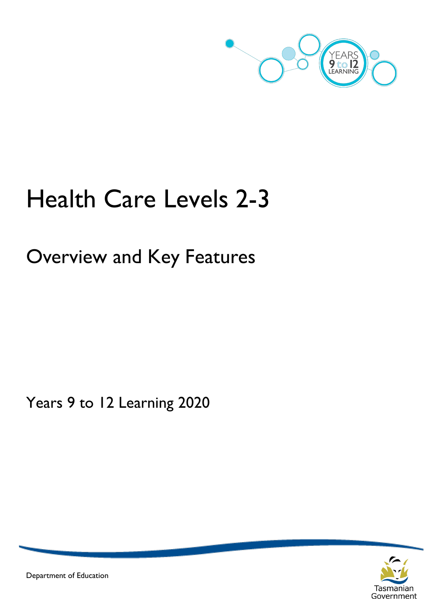

# Health Care Levels 2-3

## Overview and Key Features

Years 9 to 12 Learning 2020



Department of Education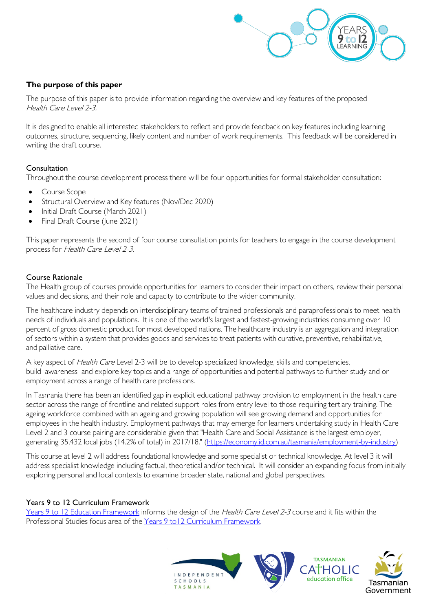

#### **The purpose of this paper**

The purpose of this paper is to provide information regarding the overview and key features of the proposed Health Care Level 2-3.

It is designed to enable all interested stakeholders to reflect and provide feedback on key features including learning outcomes, structure, sequencing, likely content and number of work requirements. This feedback will be considered in writing the draft course.

#### Consultation

Throughout the course development process there will be four opportunities for formal stakeholder consultation:

- Course Scope
- Structural Overview and Key features (Nov/Dec 2020)
- Initial Draft Course (March 2021)
- Final Draft Course (June 2021)

This paper represents the second of four course consultation points for teachers to engage in the course development process for Health Care Level 2-3.

#### Course Rationale

The Health group of courses provide opportunities for learners to consider their impact on others, review their personal values and decisions, and their role and capacity to contribute to the wider community.

The healthcare industry depends on interdisciplinary teams of trained professionals and paraprofessionals to meet health needs of individuals and populations. It is one of the world's largest and fastest-growing [industries](https://en.wikipedia.org/wiki/Industries) consuming over 10 percent of [gross domestic product](https://en.wikipedia.org/wiki/Gross_domestic_product) for most [developed nations.](https://en.wikipedia.org/wiki/Developed_nations) The healthcare industry is an aggregation and integration of sectors within a system that provides goods and services to treat patients with [curative,](https://en.wikipedia.org/wiki/Curative_care) [preventive,](https://en.wikipedia.org/wiki/Preventive_medicine) [rehabilitative,](https://en.wikipedia.org/wiki/Physical_therapy) and [palliative care.](https://en.wikipedia.org/wiki/Palliative_care)

A key aspect of *Health Care* Level 2-3 will be to develop specialized knowledge, skills and competencies, build awareness and explore key topics and a range of opportunities and potential pathways to further study and or employment across a range of health care professions.

In Tasmania there has been an identified gap in explicit educational pathway provision to employment in the health care sector across the range of frontline and related support roles from entry level to those requiring tertiary training. The ageing workforce combined with an ageing and growing population will see growing demand and opportunities for employees in the health industry. Employment pathways that may emerge for learners undertaking study in Health Care Level 2 and 3 course pairing are considerable given that "Health Care and Social Assistance is the largest employer, generating 35,432 local jobs (14.2% of total) in 2017/18." [\(https://economy.id.com.au/tasmania/employment-by-industry\)](https://economy.id.com.au/tasmania/employment-by-industry)

This course at level 2 will address foundational knowledge and some specialist or technical knowledge. At level 3 it will address specialist knowledge including factual, theoretical and/or technical. It will consider an expanding focus from initially exploring personal and local contexts to examine broader state, national and global perspectives.

#### Years 9 to 12 Curriculum Framework

[Years 9 to 12 Education Framework](https://publicdocumentcentre.education.tas.gov.au/library/Shared%20Documents/Years-9-to-12-Education-Framework.pdf) informs the design of the *Health Care Level 2-3* course and it fits within the Professional Studies focus area of the [Years 9 to12 Curriculum Framework.](https://publicdocumentcentre.education.tas.gov.au/library/Shared%20Documents/Education%209-12%20Frameworks%20A3%20WEB%20POSTER.pdf) 

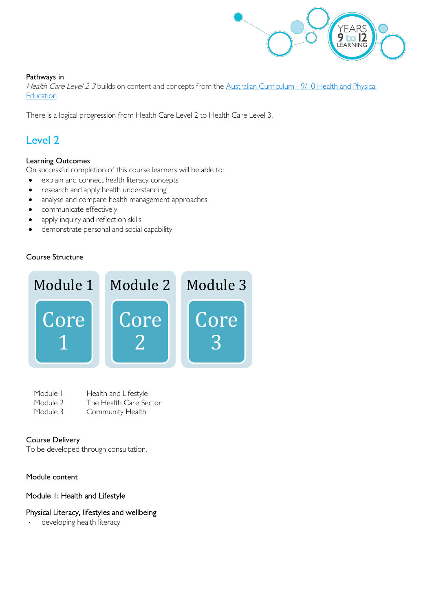

#### Pathways in

Health Care Level 2-3 builds on content and concepts from the Australian Curriculum - 9/10 Health and Physical **[Education](http://www.australiancurriculum.edu.au/health-and-physical-education/curriculum/f-10?layout=1)** 

There is a logical progression from Health Care Level 2 to Health Care Level 3.

## Level 2

#### Learning Outcomes

On successful completion of this course learners will be able to:

- explain and connect health literacy concepts
- research and apply health understanding
- analyse and compare health management approaches
- communicate effectively
- apply inquiry and reflection skills
- demonstrate personal and social capability

#### Course Structure



| Module I | Health and Lifestyle   |
|----------|------------------------|
| Module 2 | The Health Care Sector |
| Module 3 | Community Health       |

#### Course Delivery

To be developed through consultation.

#### Module content

#### Module 1: Health and Lifestyle

#### Physical Literacy, lifestyles and wellbeing

developing health literacy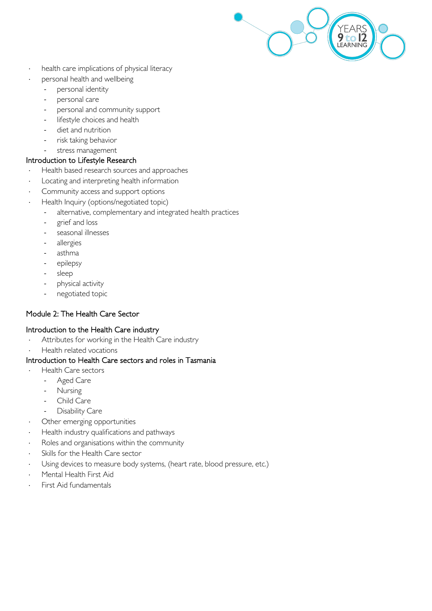

- health care implications of physical literacy
- personal health and wellbeing
	- personal identity
	- personal care
	- personal and community support
	- lifestyle choices and health
	- diet and nutrition
	- risk taking behavior
	- stress management

#### Introduction to Lifestyle Research

- Health based research sources and approaches
- Locating and interpreting health information
- Community access and support options
- Health Inquiry (options/negotiated topic)
	- alternative, complementary and integrated health practices
	- grief and loss
	- seasonal illnesses
	- allergies
	- asthma
	- epilepsy
	- sleep
	- physical activity
	- negotiated topic

#### Module 2: The Health Care Sector

#### Introduction to the Health Care industry

- Attributes for working in the Health Care industry
- Health related vocations

#### Introduction to Health Care sectors and roles in Tasmania

- Health Care sectors
	- Aged Care
	- **Nursing**
	- Child Care
	- Disability Care
- Other emerging opportunities
- Health industry qualifications and pathways
- ⋅ Roles and organisations within the community
- Skills for the Health Care sector
- Using devices to measure body systems, (heart rate, blood pressure, etc.)
- Mental Health First Aid
- **First Aid fundamentals**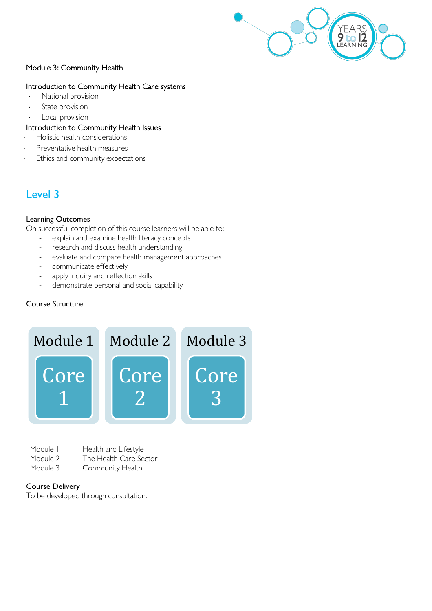

#### Module 3: Community Health

#### Introduction to Community Health Care systems

- National provision
- State provision
- Local provision

#### Introduction to Community Health Issues

- Holistic health considerations
- Preventative health measures
- Ethics and community expectations

### Level 3

#### Learning Outcomes

On successful completion of this course learners will be able to:

- explain and examine health literacy concepts
- research and discuss health understanding
- evaluate and compare health management approaches
- communicate effectively
- apply inquiry and reflection skills
- demonstrate personal and social capability

#### Course Structure



- Module I Health and Lifestyle
- Module 2 The Health Care Sector<br>Module 3 Community Health
- Community Health

#### Course Delivery

To be developed through consultation.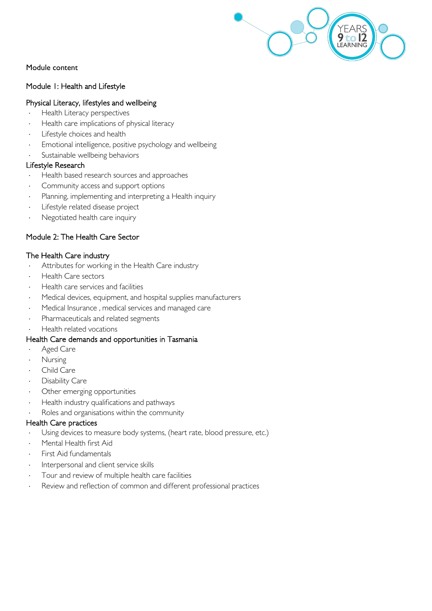

Module content

#### Module 1: Health and Lifestyle

#### Physical Literacy, lifestyles and wellbeing

- Health Literacy perspectives
- Health care implications of physical literacy
- Lifestyle choices and health
- Emotional intelligence, positive psychology and wellbeing
- Sustainable wellbeing behaviors

#### Lifestyle Research

- Health based research sources and approaches
- Community access and support options
- Planning, implementing and interpreting a Health inquiry
- Lifestyle related disease project
- Negotiated health care inquiry

#### Module 2: The Health Care Sector

#### The Health Care industry

- Attributes for working in the Health Care industry
- ⋅ Health Care sectors
- Health care services and facilities
- Medical devices, equipment, and hospital supplies manufacturers
- Medical Insurance, medical services and managed care
- Pharmaceuticals and related segments
- Health related vocations

#### Health Care demands and opportunities in Tasmania

- Aged Care
- **Nursing**
- Child Care
- Disability Care
- Other emerging opportunities
- Health industry qualifications and pathways
- Roles and organisations within the community

#### Health Care practices

- Using devices to measure body systems, (heart rate, blood pressure, etc.)
- Mental Health first Aid
- First Aid fundamentals
- Interpersonal and client service skills
- Tour and review of multiple health care facilities
- Review and reflection of common and different professional practices